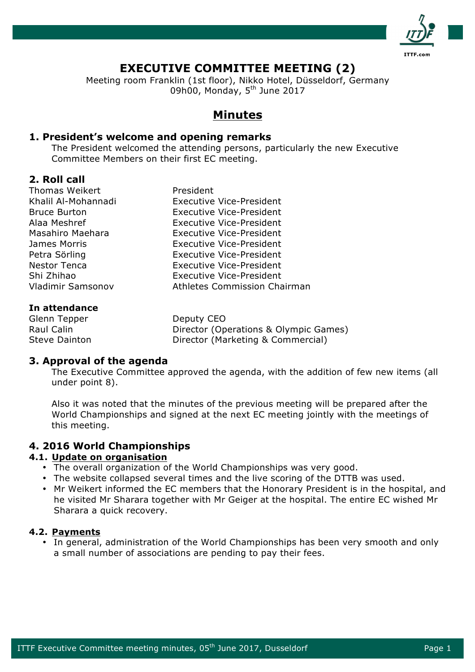

# **EXECUTIVE COMMITTEE MEETING (2)**

Meeting room Franklin (1st floor), Nikko Hotel, Düsseldorf, Germany 09h00, Monday, 5<sup>th</sup> June 2017

## **Minutes**

### **1. President's welcome and opening remarks**

The President welcomed the attending persons, particularly the new Executive Committee Members on their first EC meeting.

### **2. Roll call**

| In attondanco            |                                     |
|--------------------------|-------------------------------------|
| <b>Vladimir Samsonov</b> | <b>Athletes Commission Chairman</b> |
| Shi Zhihao               | Executive Vice-President            |
| <b>Nestor Tenca</b>      | <b>Executive Vice-President</b>     |
| Petra Sörling            | Executive Vice-President            |
| James Morris             | <b>Executive Vice-President</b>     |
| Masahiro Maehara         | Executive Vice-President            |
| Alaa Meshref             | <b>Executive Vice-President</b>     |
| <b>Bruce Burton</b>      | Executive Vice-President            |
| Khalil Al-Mohannadi      | <b>Executive Vice-President</b>     |
| <b>Thomas Weikert</b>    | President                           |

### **In attendance**

Glenn Tepper Deputy CEO

Raul Calin **Director (Operations & Olympic Games)** Steve Dainton **Director** (Marketing & Commercial)

### **3. Approval of the agenda**

The Executive Committee approved the agenda, with the addition of few new items (all under point 8).

Also it was noted that the minutes of the previous meeting will be prepared after the World Championships and signed at the next EC meeting jointly with the meetings of this meeting.

### **4. 2016 World Championships**

### **4.1. Update on organisation**

- The overall organization of the World Championships was very good.
- The website collapsed several times and the live scoring of the DTTB was used.
- Mr Weikert informed the EC members that the Honorary President is in the hospital, and he visited Mr Sharara together with Mr Geiger at the hospital. The entire EC wished Mr Sharara a quick recovery.

### **4.2. Payments**

• In general, administration of the World Championships has been very smooth and only a small number of associations are pending to pay their fees.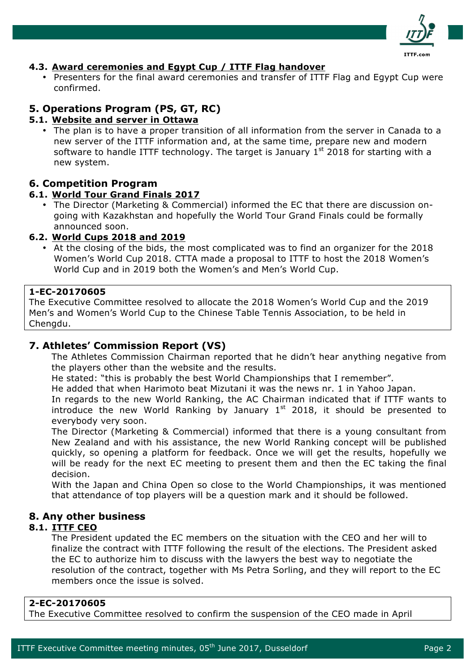

### **4.3. Award ceremonies and Egypt Cup / ITTF Flag handover**

• Presenters for the final award ceremonies and transfer of ITTF Flag and Egypt Cup were confirmed.

### **5. Operations Program (PS, GT, RC)**

### **5.1. Website and server in Ottawa**

• The plan is to have a proper transition of all information from the server in Canada to a new server of the ITTF information and, at the same time, prepare new and modern software to handle ITTF technology. The target is January  $1<sup>st</sup>$  2018 for starting with a new system.

### **6. Competition Program**

### **6.1. World Tour Grand Finals 2017**

• The Director (Marketing & Commercial) informed the EC that there are discussion ongoing with Kazakhstan and hopefully the World Tour Grand Finals could be formally announced soon.

### **6.2. World Cups 2018 and 2019**

• At the closing of the bids, the most complicated was to find an organizer for the 2018 Women's World Cup 2018. CTTA made a proposal to ITTF to host the 2018 Women's World Cup and in 2019 both the Women's and Men's World Cup.

### **1-EC-20170605**

The Executive Committee resolved to allocate the 2018 Women's World Cup and the 2019 Men's and Women's World Cup to the Chinese Table Tennis Association, to be held in Chengdu.

### **7. Athletes' Commission Report (VS)**

The Athletes Commission Chairman reported that he didn't hear anything negative from the players other than the website and the results.

He stated: "this is probably the best World Championships that I remember".

He added that when Harimoto beat Mizutani it was the news nr. 1 in Yahoo Japan.

In regards to the new World Ranking, the AC Chairman indicated that if ITTF wants to introduce the new World Ranking by January  $1<sup>st</sup>$  2018, it should be presented to everybody very soon.

The Director (Marketing & Commercial) informed that there is a young consultant from New Zealand and with his assistance, the new World Ranking concept will be published quickly, so opening a platform for feedback. Once we will get the results, hopefully we will be ready for the next EC meeting to present them and then the EC taking the final decision.

With the Japan and China Open so close to the World Championships, it was mentioned that attendance of top players will be a question mark and it should be followed.

### **8. Any other business**

### **8.1. ITTF CEO**

The President updated the EC members on the situation with the CEO and her will to finalize the contract with ITTF following the result of the elections. The President asked the EC to authorize him to discuss with the lawyers the best way to negotiate the resolution of the contract, together with Ms Petra Sorling, and they will report to the EC members once the issue is solved.

### **2-EC-20170605**

The Executive Committee resolved to confirm the suspension of the CEO made in April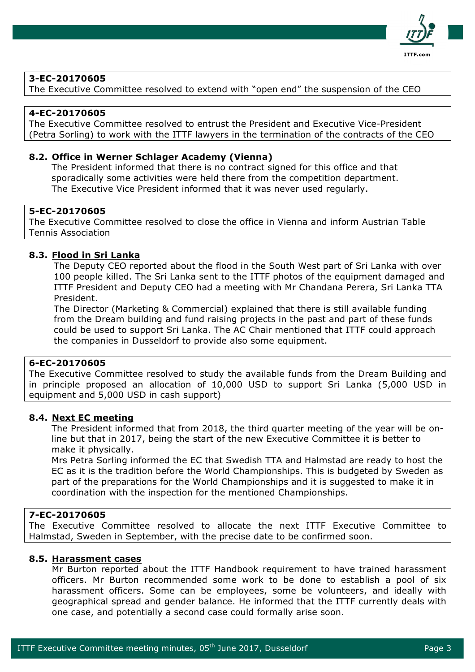

### **3-EC-20170605**

The Executive Committee resolved to extend with "open end" the suspension of the CEO

### **4-EC-20170605**

The Executive Committee resolved to entrust the President and Executive Vice-President (Petra Sorling) to work with the ITTF lawyers in the termination of the contracts of the CEO

#### **8.2. Office in Werner Schlager Academy (Vienna)**

The President informed that there is no contract signed for this office and that sporadically some activities were held there from the competition department. The Executive Vice President informed that it was never used regularly.

#### **5-EC-20170605**

The Executive Committee resolved to close the office in Vienna and inform Austrian Table Tennis Association

#### **8.3. Flood in Sri Lanka**

The Deputy CEO reported about the flood in the South West part of Sri Lanka with over 100 people killed. The Sri Lanka sent to the ITTF photos of the equipment damaged and ITTF President and Deputy CEO had a meeting with Mr Chandana Perera, Sri Lanka TTA President.

The Director (Marketing & Commercial) explained that there is still available funding from the Dream building and fund raising projects in the past and part of these funds could be used to support Sri Lanka. The AC Chair mentioned that ITTF could approach the companies in Dusseldorf to provide also some equipment.

### **6-EC-20170605**

The Executive Committee resolved to study the available funds from the Dream Building and in principle proposed an allocation of 10,000 USD to support Sri Lanka (5,000 USD in equipment and 5,000 USD in cash support)

#### **8.4. Next EC meeting**

The President informed that from 2018, the third quarter meeting of the year will be online but that in 2017, being the start of the new Executive Committee it is better to make it physically.

Mrs Petra Sorling informed the EC that Swedish TTA and Halmstad are ready to host the EC as it is the tradition before the World Championships. This is budgeted by Sweden as part of the preparations for the World Championships and it is suggested to make it in coordination with the inspection for the mentioned Championships.

#### **7-EC-20170605**

The Executive Committee resolved to allocate the next ITTF Executive Committee to Halmstad, Sweden in September, with the precise date to be confirmed soon.

#### **8.5. Harassment cases**

Mr Burton reported about the ITTF Handbook requirement to have trained harassment officers. Mr Burton recommended some work to be done to establish a pool of six harassment officers. Some can be employees, some be volunteers, and ideally with geographical spread and gender balance. He informed that the ITTF currently deals with one case, and potentially a second case could formally arise soon.